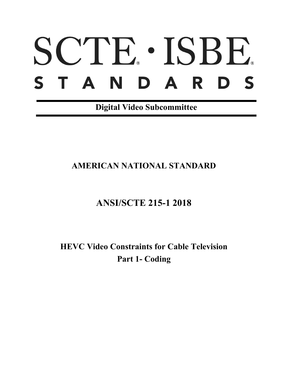# SCTE · ISBE. S T A N D A R D S

**Digital Video Subcommittee**

## **AMERICAN NATIONAL STANDARD**

# **ANSI/SCTE 215-1 2018**

**HEVC Video Constraints for Cable Television Part 1- Coding**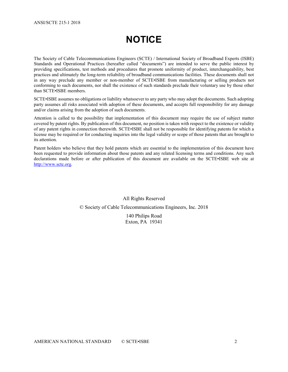# **NOTICE**

The Society of Cable Telecommunications Engineers (SCTE) / International Society of Broadband Experts (ISBE) Standards and Operational Practices (hereafter called "documents") are intended to serve the public interest by providing specifications, test methods and procedures that promote uniformity of product, interchangeability, best practices and ultimately the long-term reliability of broadband communications facilities. These documents shall not in any way preclude any member or non-member of SCTE•ISBE from manufacturing or selling products not conforming to such documents, nor shall the existence of such standards preclude their voluntary use by those other than SCTE•ISBE members.

SCTE•ISBE assumes no obligations or liability whatsoever to any party who may adopt the documents. Such adopting party assumes all risks associated with adoption of these documents, and accepts full responsibility for any damage and/or claims arising from the adoption of such documents.

Attention is called to the possibility that implementation of this document may require the use of subject matter covered by patent rights. By publication of this document, no position is taken with respect to the existence or validity of any patent rights in connection therewith. SCTE•ISBE shall not be responsible for identifying patents for which a license may be required or for conducting inquiries into the legal validity or scope of those patents that are brought to its attention.

Patent holders who believe that they hold patents which are essential to the implementation of this document have been requested to provide information about those patents and any related licensing terms and conditions. Any such declarations made before or after publication of this document are available on the SCTE•ISBE web site at [http://www.scte.org.](http://www.scte.org/)

#### All Rights Reserved

#### © Society of Cable Telecommunications Engineers, Inc. 2018

140 Philips Road Exton, PA 19341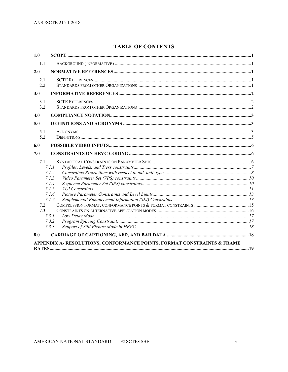#### **TABLE OF CONTENTS**

| 1.0               |                                                                                        |  |
|-------------------|----------------------------------------------------------------------------------------|--|
| 1.1               |                                                                                        |  |
| 2.0               |                                                                                        |  |
| 2.1<br>2.2        |                                                                                        |  |
| 3.0               |                                                                                        |  |
| 3.1<br>3.2        |                                                                                        |  |
| 4.0               |                                                                                        |  |
| 5.0               |                                                                                        |  |
| 5.1<br>5.2        |                                                                                        |  |
| 6.0               |                                                                                        |  |
| 7.0               |                                                                                        |  |
| 7.1<br>7.2<br>7.3 | 7.1.1<br>7.1.2<br>7.1.3<br>7.1.4<br>7.1.5<br>7.1.6<br>7.1.7<br>7.3.1<br>7.3.2<br>7.3.3 |  |
| 8.0               |                                                                                        |  |
|                   | APPENDIX A- RESOLUTIONS, CONFORMANCE POINTS, FORMAT CONSTRAINTS & FRAME                |  |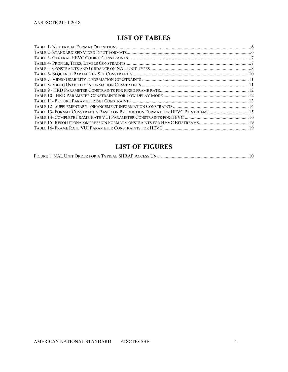### **LIST OF TABLES**

| TABLE 13- FORMAT CONSTRAINTS BASED ON PRODUCTION FORMAT FOR HEVC BITSTREAMS15 |
|-------------------------------------------------------------------------------|
|                                                                               |
|                                                                               |
|                                                                               |

## **LIST OF FIGURES**

|--|--|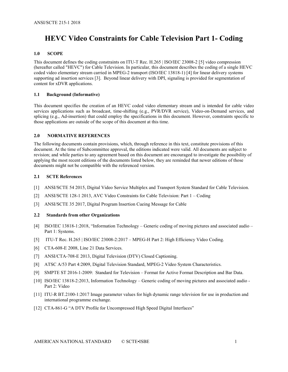## **HEVC Video Constraints for Cable Television Part 1- Coding**

#### <span id="page-4-0"></span>**1.0 SCOPE**

This document defines the coding constraints on ITU-T Rec. H.265 | ISO/IEC 23008-[2 \[5\]](#page-4-5) video compression (hereafter called "HEVC") for Cable Television. In particular, this document describes the coding of a single HEVC coded video elementary stream carried in MPEG-2 transport (ISO/IEC 13818-1) [\[4\]](#page-4-6) for linear delivery systems supporting ad insertion services [\[3\].](#page-4-7) Beyond linear delivery with DPI, signaling is provided for segmentation of content for xDVR applications.

#### <span id="page-4-1"></span>**1.1 Background (Informative)**

This document specifies the creation of an HEVC coded video elementary stream and is intended for cable video services applications such as broadcast, time-shifting (e.g., PVR/DVR service), Video-on-Demand services, and splicing (e.g., Ad-insertion) that could employ the specifications in this document. However, constraints specific to those applications are outside of the scope of this document at this time.

#### <span id="page-4-2"></span>**2.0 NORMATIVE REFERENCES**

<span id="page-4-3"></span>The following documents contain provisions, which, through reference in this text, constitute provisions of this document. At the time of Subcommittee approval, the editions indicated were valid. All documents are subject to revision; and while parties to any agreement based on this document are encouraged to investigate the possibility of applying the most recent editions of the documents listed below, they are reminded that newer editions of those documents might not be compatible with the referenced version.

#### **2.1 SCTE References**

- [1] ANSI/SCTE 54 2015, Digital Video Service Multiplex and Transport System Standard for Cable Television.
- <span id="page-4-9"></span>[2] ANSI/SCTE 128-1 2013, AVC Video Constraints for Cable Television: Part 1 – Coding
- <span id="page-4-7"></span>[3] ANSI/SCTE 35 2017, Digital Program Insertion Cueing Message for Cable

#### <span id="page-4-4"></span>**2.2 Standards from other Organizations**

- <span id="page-4-6"></span>[4] ISO/IEC 13818-1:2018, "Information Technology – Generic coding of moving pictures and associated audio – Part 1: Systems.
- <span id="page-4-5"></span>[5] ITU-T Rec. H.265 | ISO/IEC 23008-2:2017 – MPEG-H Part 2: High Efficiency Video Coding.
- [6] CTA-608-E 2008, Line 21 Data Services.
- [7] ANSI/CTA-708-E 2013, Digital Television (DTV) Closed Captioning.
- [8] ATSC A/53 Part 4:2009, Digital Television Standard, MPEG-2 Video System Characteristics.
- [9] SMPTE ST 2016-1-2009: Standard for Television Format for Active Format Description and Bar Data.
- [10] ISO/IEC 13818-2:2013, Information Technology Generic coding of moving pictures and associated audio Part 2: Video
- <span id="page-4-8"></span>[11] ITU-R BT.2100-1:2017 Image parameter values for high dynamic range television for use in production and international programme exchange.
- [12] CTA-861-G "A DTV Profile for Uncompressed High Speed Digital Interfaces"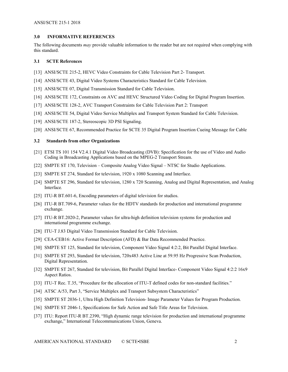#### <span id="page-5-0"></span>**3.0 INFORMATIVE REFERENCES**

The following documents *may* provide valuable information to the reader but are not required when complying with this standard.

#### <span id="page-5-1"></span>**3.1 SCTE References**

- <span id="page-5-3"></span>[13] ANSI/SCTE 215-2, HEVC Video Constraints for Cable Television Part 2- Transport.
- [14] ANSI/SCTE 43, Digital Video Systems Characteristics Standard for Cable Television.
- [15] ANSI/SCTE 07, Digital Transmission Standard for Cable Television.
- [16] ANSI/SCTE 172, Constraints on AVC and HEVC Structured Video Coding for Digital Program Insertion.
- [17] ANSI/SCTE 128-2, AVC Transport Constraints for Cable Television Part 2: Transport
- [18] ANSI/SCTE 54, Digital Video Service Multiplex and Transport System Standard for Cable Television.
- [19] ANSI/SCTE 187-2, Stereoscopic 3D PSI Signaling.
- [20] ANSI/SCTE 67, Recommended Practice for SCTE 35 Digital Program Insertion Cueing Message for Cable

#### <span id="page-5-2"></span>**3.2 Standards from other Organizations**

- [21] ETSI TS 101 154 V2.4.1 Digital Video Broadcasting (DVB): Specification for the use of Video and Audio Coding in Broadcasting Applications based on the MPEG-2 Transport Stream.
- <span id="page-5-10"></span>[22] SMPTE ST 170, Television – Composite Analog Video Signal – NTSC for Studio Applications.
- <span id="page-5-5"></span>[23] SMPTE ST 274, Standard for television, 1920 x 1080 Scanning and Interface.
- <span id="page-5-6"></span>[24] SMPTE ST 296, Standard for television, 1280 x 720 Scanning, Analog and Digital Representation, and Analog Interface*.*
- [25] ITU-R BT.601-6, Encoding parameters of digital television for studios.
- <span id="page-5-9"></span>[26] ITU-R BT.709-6, Parameter values for the HDTV standards for production and international programme exchange.
- [27] ITU-R BT.2020-2, Parameter values for ultra-high definition television systems for production and international programme exchange.
- [28] ITU-T J.83 Digital Video Transmission Standard for Cable Television.
- [29] CEA-CEB16: Active Format Description (AFD) & Bar Data Recommended Practice.
- <span id="page-5-7"></span>[30] SMPTE ST 125, Standard for television, Component Video Signal 4:2:2, Bit Parallel Digital Interface.
- [31] SMPTE ST 293, Standard for television, 720x483 Active Line at 59.95 Hz Progressive Scan Production, Digital Representation.
- [32] SMPTE ST 267, Standard for television, Bit Parallel Digital Interface- Component Video Signal 4:2:2 16x9 Aspect Ratios.
- [33] ITU-T Rec. T.35, "Procedure for the allocation of ITU-T defined codes for non-standard facilities."
- [34] ATSC A/53, Part 3, "Service Multiplex and Transport Subsystem Characteristics"
- <span id="page-5-4"></span>[35] SMPTE ST 2036-1, Ultra High Definition Television- Image Parameter Values for Program Production.
- <span id="page-5-8"></span>[36] SMPTE ST 2046-1, Specifications for Safe Action and Safe Title Areas for Television.
- [37] ITU: Report ITU-R BT.2390, "High dynamic range television for production and international programme exchange," International Telecommunications Union, Geneva.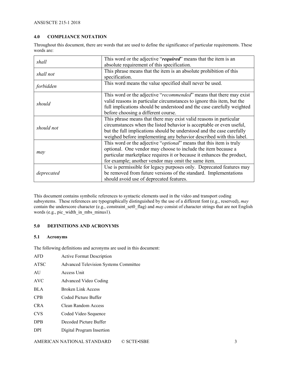#### <span id="page-6-0"></span>**4.0 COMPLIANCE NOTATION**

Throughout this document, there are words that are used to define the significance of particular requirements. These words are:

| shall      | This word or the adjective "required" means that the item is an              |  |  |
|------------|------------------------------------------------------------------------------|--|--|
|            | absolute requirement of this specification.                                  |  |  |
| shall not  | This phrase means that the item is an absolute prohibition of this           |  |  |
|            | specification.                                                               |  |  |
| forbidden  | This word means the value specified shall never be used.                     |  |  |
|            | This word or the adjective "recommended" means that there may exist          |  |  |
| should     | valid reasons in particular circumstances to ignore this item, but the       |  |  |
|            | full implications should be understood and the case carefully weighted       |  |  |
|            | before choosing a different course.                                          |  |  |
|            | This phrase means that there may exist valid reasons in particular           |  |  |
| should not | circumstances when the listed behavior is acceptable or even useful,         |  |  |
|            | but the full implications should be understood and the case carefully        |  |  |
|            | weighed before implementing any behavior described with this label.          |  |  |
|            | This word or the adjective " <i>optional</i> " means that this item is truly |  |  |
|            | optional. One vendor may choose to include the item because a                |  |  |
| may        | particular marketplace requires it or because it enhances the product,       |  |  |
|            | for example; another vendor may omit the same item.                          |  |  |
|            | Use is permissible for legacy purposes only. Deprecated features may         |  |  |
| deprecated | be removed from future versions of the standard. Implementations             |  |  |
|            | should avoid use of deprecated features.                                     |  |  |

This document contains symbolic references to syntactic elements used in the video and transport coding subsystems. These references are typographically distinguished by the use of a different font (e.g., reserved), *may* contain the underscore character (e.g., constraint\_set0\_flag) and *may* consist of character strings that are not English words (e.g., pic\_width\_in\_mbs\_minus1).

#### <span id="page-6-1"></span>**5.0 DEFINITIONS AND ACRONYMS**

#### <span id="page-6-2"></span>**5.1 Acronyms**

The following definitions and acronyms are used in this document:

| <b>AFD</b>  | <b>Active Format Description</b>             |
|-------------|----------------------------------------------|
| <b>ATSC</b> | <b>Advanced Television Systems Committee</b> |
| AU          | Access Unit                                  |
| AVC         | Advanced Video Coding                        |
| <b>BLA</b>  | Broken Link Access                           |
| <b>CPB</b>  | Coded Picture Buffer                         |
| CR A        | Clean Random Access                          |
| <b>CVS</b>  | Coded Video Sequence                         |
| <b>DPB</b>  | Decoded Picture Buffer                       |
| <b>DPI</b>  | Digital Program Insertion                    |
|             |                                              |

AMERICAN NATIONAL STANDARD © SCTE•ISBE 3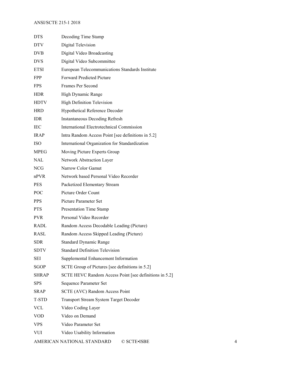| <b>DTS</b>   | Decoding Time Stamp                                    |
|--------------|--------------------------------------------------------|
| <b>DTV</b>   | Digital Television                                     |
| <b>DVB</b>   | Digital Video Broadcasting                             |
| <b>DVS</b>   | Digital Video Subcommittee                             |
| <b>ETSI</b>  | European Telecommunications Standards Institute        |
| FPP.         | <b>Forward Predicted Picture</b>                       |
| <b>FPS</b>   | Frames Per Second                                      |
| <b>HDR</b>   | High Dynamic Range                                     |
| <b>HDTV</b>  | <b>High Definition Television</b>                      |
| <b>HRD</b>   | Hypothetical Reference Decoder                         |
| IDR.         | <b>Instantaneous Decoding Refresh</b>                  |
| <b>IEC</b>   | International Electrotechnical Commission              |
| <b>IRAP</b>  | Intra Random Access Point [see definitions in 5.2]     |
| <b>ISO</b>   | International Organization for Standardization         |
| <b>MPEG</b>  | Moving Picture Experts Group                           |
| <b>NAL</b>   | Network Abstraction Layer                              |
| NCG.         | Narrow Color Gamut                                     |
| $n$ PVR      | Network based Personal Video Recorder                  |
| <b>PES</b>   | Packetized Elementary Stream                           |
| <b>POC</b>   | Picture Order Count                                    |
| PPS.         | Picture Parameter Set                                  |
| <b>PTS</b>   | Presentation Time Stamp                                |
| <b>PVR</b>   | Personal Video Recorder                                |
| <b>RADL</b>  | Random Access Decodable Leading (Picture)              |
| <b>RASL</b>  | Random Access Skipped Leading (Picture)                |
| <b>SDR</b>   | <b>Standard Dynamic Range</b>                          |
| <b>SDTV</b>  | <b>Standard Definition Television</b>                  |
| <b>SEI</b>   | Supplemental Enhancement Information                   |
| <b>SGOP</b>  | SCTE Group of Pictures [see definitions in 5.2]        |
| <b>SHRAP</b> | SCTE HEVC Random Access Point [see definitions in 5.2] |
| <b>SPS</b>   | Sequence Parameter Set                                 |
| <b>SRAP</b>  | <b>SCTE (AVC) Random Access Point</b>                  |
| T-STD        | Transport Stream System Target Decoder                 |
| VCL          | Video Coding Layer                                     |
| VOD          | Video on Demand                                        |
| <b>VPS</b>   | Video Parameter Set                                    |
| VUI          | Video Usability Information                            |
|              |                                                        |

AMERICAN NATIONAL STANDARD © SCTE•ISBE 4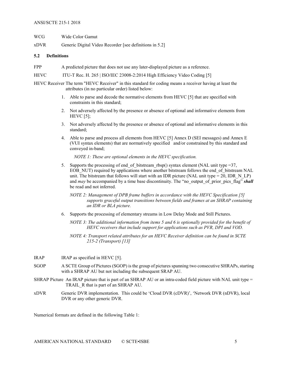#### ANSI/SCTE 215-1 2018

| WCG  | Wide Color Gamut                                        |
|------|---------------------------------------------------------|
| xDVR | Generic Digital Video Recorder [see definitions in 5.2] |

#### <span id="page-8-0"></span>**5.2 Definitions**

- FPP A predicted picture that does not use any later-displayed picture as a reference.
- HEVC ITU-T Rec. H. 265 | ISO/IEC 23008-2:2014 High Efficiency Video Coding [\[5\]](#page-4-5)
- HEVC Receiver The term "HEVC Receiver" in this standard for coding means a receiver having at least the attributes (in no particular order) listed below:
	- 1. Able to parse and decode the normative elements from HEV[C \[5\]](#page-4-5) that are specified with constraints in this standard;
	- 2. Not adversely affected by the presence or absence of optional and informative elements from HEVC [\[5\];](#page-4-5)
	- 3. Not adversely affected by the presence or absence of optional and informative elements in this standard;
	- 4. Able to parse and process all elements from HEVC [\[5\]](#page-4-5) Annex D (SEI messages) and Annex E (VUI syntax elements) that are normatively specified and/or constrained by this standard and conveyed in-band;

*NOTE 1: These are optional elements in the HEVC specification.*

- 5. Supports the processing of end\_of\_bitstream\_rbsp() syntax element (NAL unit type =37, EOB\_NUT) required by applications where another bitstream follows the end\_of\_bitstream NAL unit. The bitstream that follows will start with an IDR picture (NAL unit type = 20, IDR  $N$  LP) and *may* be accompanied by a time base discontinuity. The "no output of prior pics flag" *shall* be read and not inferred.
	- *NOTE 2: Management of DPB frame buffers in accordance with the HEVC Specification [\[5\]](#page-4-5) supports graceful output transitions between fields and frames at an SHRAP containing an IDR or BLA picture.*
- 6. Supports the processing of elementary streams in Low Delay Mode and Still Pictures.
	- *NOTE 3: The additional information from items 5 and 6 is optionally provided for the benefit of HEVC receivers that include support for applications such as PVR, DPI and VOD.*
	- *NOTE 4: Transport related attributes for an HEVC Receiver definition can be found in SCTE 215-2 (Transport) [\[13\]](#page-5-3)*
- IRAP IRAP as specified in HEVC [\[5\].](#page-4-5)
- SGOP A SCTE Group of Pictures (SGOP) is the group of pictures spanning two consecutive SHRAPs, starting with a SHRAP AU but not including the subsequent SRAP AU.
- SHRAP Picture An IRAP picture that is part of an SHRAP AU or an intra-coded field picture with NAL unit type = TRAIL R that is part of an SHRAP AU.
- xDVR Generic DVR implementation. This could be 'Cloud DVR (cDVR)', 'Network DVR (nDVR), local DVR or any other generic DVR.

Numerical formats are defined in the following [Table 1:](#page-9-3)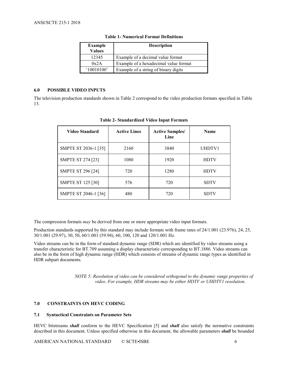<span id="page-9-3"></span>

| <b>Example</b><br><b>Values</b> | <b>Description</b>                    |
|---------------------------------|---------------------------------------|
| 12345                           | Example of a decimal value format     |
| 0x2A                            | Example of a hexadecimal value format |
| 10010100'                       | Example of a string of binary digits  |

#### **Table 1- Numerical Format Definitions**

#### <span id="page-9-0"></span>**6.0 POSSIBLE VIDEO INPUTS**

<span id="page-9-4"></span>The television production standards shown in [Table 2](#page-9-4) correspond to the video production formats specified in [Table](#page-18-1)  [13.](#page-18-1)

| Video Standard           | <b>Active Lines</b> | <b>Active Samples/</b><br>Line | <b>Name</b> |
|--------------------------|---------------------|--------------------------------|-------------|
| SMPTE ST 2036-1 [35]     | 2160                | 3840                           | UHDTV1      |
| <b>SMPTE ST 274 [23]</b> | 1080                | 1920                           | <b>HDTV</b> |
| <b>SMPTE ST 296 [24]</b> | 720                 | 1280                           | <b>HDTV</b> |
| <b>SMPTE ST 125 [30]</b> | 576                 | 720                            | <b>SDTV</b> |
| SMPTE ST 2046-1 [36]     | 480                 | 720                            | <b>SDTV</b> |

**Table 2- Standardized Video Input Formats**

The compression formats *may* be derived from one or more appropriate video input formats.

Production standards supported by this standard may include formats with frame rates of 24/1.001 (23.976), 24, 25, 30/1.001 (29.97), 30, 50, 60/1.001 (59.94), 60, 100, 120 and 120/1.001 Hz.

Video streams can be in the form of standard dynamic range (SDR) which are identified by video streams using a transfer characteristic for BT.709 assuming a display characteristic corresponding to BT.1886. Video streams can also be in the form of high dynamic range (HDR) which consists of streams of dynamic range types as identified in HDR subpart documents.

> *NOTE 5: Resolution of video can be considered orthogonal to the dynamic range properties of video. For example, HDR streams may be either HDTV or UHDTV1 resolution.*

#### <span id="page-9-1"></span>**7.0 CONSTRAINTS ON HEVC CODING**

#### <span id="page-9-2"></span>**7.1 Syntactical Constraints on Parameter Sets**

HEVC bitstreams *shall* conform to the HEVC Specification [\[5\]](#page-4-5) and *shall* also satisfy the normative constraints described in this document. Unless specified otherwise in this document, the allowable parameters *shall* be bounded

AMERICAN NATIONAL STANDARD © SCTE•ISBE 6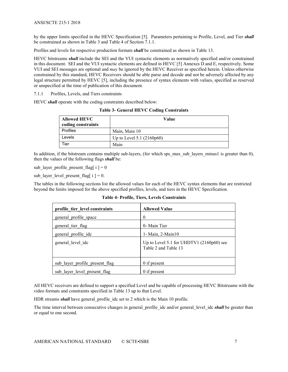by the upper limits specified in the HEVC Specification [\[5\].](#page-4-5) Parameters pertaining to Profile, Level, and Tier *shall* be constrained as shown in [Table 3](#page-10-1) and [Table 4](#page-10-2) of Section [7.1.1.](#page-10-0)

Profiles and levels for respective production formats *shall* be constrained as shown in [Table 13.](#page-18-1)

HEVC bitstreams *shall* include the SEI and the VUI syntactic elements as normatively specified and/or constrained in this document. SEI and the VUI syntactic elements are defined in HEVC [\[5\]](#page-4-5) Annexes D and E, respectively. Some VUI and SEI messages are optional and *may* be ignored by the HEVC Receiver as specified herein. Unless otherwise constrained by this standard, HEVC Receivers should be able parse and decode and not be adversely affected by any legal structure permitted by HEVC [\[5\],](#page-4-5) including the presence of syntax elements with values, specified as reserved or unspecified at the time of publication of this document.

<span id="page-10-0"></span>7.1.1 Profiles, Levels, and Tiers constraints

<span id="page-10-1"></span>HEVC *shall* operate with the coding constraints described below:

**Table 3- General HEVC Coding Constraints**

| <b>Allowed HEVC</b><br>coding constraints | Value                       |
|-------------------------------------------|-----------------------------|
| Profiles                                  | Main, Main 10               |
| Levels                                    | Up to Level 5.1 $(2160p60)$ |
| Tier                                      | Main                        |

In addition, if the bitstream contains multiple sub-layers, (for which sps\_max\_sub\_layers\_minus1 is greater than 0), then the values of the following flags *shall* be:

sub\_layer\_profile\_present\_flag[ $i$ ] = 0

sub\_layer\_level\_present\_flag[ $i$ ] = 0.

<span id="page-10-2"></span>The tables in the following sections list the allowed values for each of the HEVC syntax elements that are restricted beyond the limits imposed for the above specified profiles, levels, and tiers in the HEVC Specification.

**Table 4- Profile, Tiers, Levels Constraints**

| profile tier level constraints | <b>Allowed Value</b>                                             |
|--------------------------------|------------------------------------------------------------------|
| general profile space          | $\theta$                                                         |
| general tier flag              | 0- Main Tier                                                     |
| general profile idc            | $1 - Main, 2 - Main10$                                           |
| general level idc              | Up to Level 5.1 for UHDTV1 (2160p60) see<br>Table 2 and Table 13 |
| sub layer profile present flag | $0$ if present                                                   |
| sub layer level present flag   | $0$ if present                                                   |

All HEVC receivers are defined to support a specified Level and be capable of processing HEVC Bitstreams with the video formats and constraints specified in [Table 13](#page-18-1) up to that Level.

HDR streams *shall* have general profile idc set to 2 which is the Main 10 profile.

The time interval between consecutive changes in general\_profile\_idc and/or general\_level\_idc **shall** be greater than or equal to one second.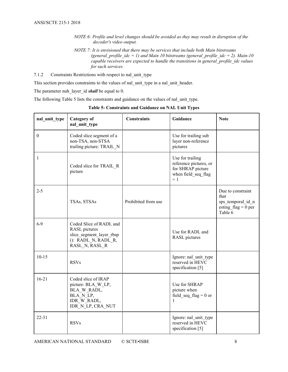- *NOTE 6: Profile and level changes should be avoided as they may result in disruption of the decoder's video output.*
- *NOTE 7: It is envisioned that there may be services that include both Main bitstreams*  (general profile  $idc = 1$ ) and Main 10 bitstreams (general profile  $idc = 2$ ). Main-10 *capable receivers are expected to handle the transitions in general\_profile\_idc values for such services.*
- <span id="page-11-0"></span>7.1.2 Constraints Restrictions with respect to nal\_unit\_type

This section provides constraints to the values of nal\_unit\_type in a nal\_unit\_header.

The parameter nuh layer id **shall** be equal to 0.

<span id="page-11-1"></span>The following [Table 5](#page-11-1) lists the constraints and guidance on the values of nal\_unit\_type.

| nal unit type | <b>Category</b> of<br>nal unit type                                                                                  | <b>Constraints</b>  | Guidance                                                                                        | <b>Note</b>                                                                        |
|---------------|----------------------------------------------------------------------------------------------------------------------|---------------------|-------------------------------------------------------------------------------------------------|------------------------------------------------------------------------------------|
| $\mathbf{0}$  | Coded slice segment of a<br>non-TSA, non-STSA<br>trailing picture: TRAIL N                                           |                     | Use for trailing sub<br>layer non-reference<br>pictures                                         |                                                                                    |
| 1             | Coded slice for TRAIL R<br>picture                                                                                   |                     | Use for trailing<br>reference pictures, or<br>for SHRAP picture<br>when field seq flag<br>$= 1$ |                                                                                    |
| $2 - 5$       | TSAs, STSAs                                                                                                          | Prohibited from use |                                                                                                 | Due to constraint<br>that<br>sps_temporal_id_n<br>esting $flag = 0$ per<br>Table 6 |
| $6-9$         | Coded Slice of RADL and<br><b>RASL</b> pictures<br>slice segment layer rbsp<br>(): RADL N, RADL R,<br>RASL N, RASL R |                     | Use for RADL and<br><b>RASL</b> pictures                                                        |                                                                                    |
| $10-15$       | <b>RSVs</b>                                                                                                          |                     | Ignore: nal unit type<br>reserved in HEVC<br>specification [5]                                  |                                                                                    |
| $16-21$       | Coded slice of IRAP<br>picture: BLA W LP,<br>BLA W RADL,<br>BLA N LP,<br>IDR_W_RADL,<br>IDR N LP, CRA NUT            |                     | Use for SHRAP<br>picture when<br>field seq flag = $0$ or<br>$\mathbf{1}$                        |                                                                                    |
| $22 - 31$     | <b>RSVs</b>                                                                                                          |                     | Ignore: nal unit type<br>reserved in HEVC<br>specification [5]                                  |                                                                                    |

**Table 5- Constraints and Guidance on NAL Unit Types**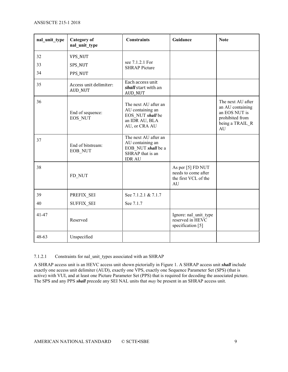| nal_unit_type | <b>Category</b> of<br>nal_unit_type      | <b>Constraints</b>                                                                                  | Guidance                                                               | <b>Note</b>                                                                                        |
|---------------|------------------------------------------|-----------------------------------------------------------------------------------------------------|------------------------------------------------------------------------|----------------------------------------------------------------------------------------------------|
| 32            | VPS_NUT                                  |                                                                                                     |                                                                        |                                                                                                    |
| 33            | SPS_NUT                                  | see 7.1.2.1 For<br><b>SHRAP Picture</b>                                                             |                                                                        |                                                                                                    |
| 34            | PPS_NUT                                  |                                                                                                     |                                                                        |                                                                                                    |
| 35            | Access unit delimiter:<br><b>AUD_NUT</b> | Each access unit<br>shall start with an<br><b>AUD_NUT</b>                                           |                                                                        |                                                                                                    |
| 36            | End of sequence:<br>EOS NUT              | The next AU after an<br>AU containing an<br>EOS NUT shall be<br>an IDR AU, BLA<br>AU, or CRA AU     |                                                                        | The next AU after<br>an AU containing<br>an EOS NUT is<br>prohibited from<br>being a TRAIL R<br>AU |
| 37            | End of bitstream:<br>EOB_NUT             | The next AU after an<br>AU containing an<br>EOB NUT shall be a<br>SHRAP that is an<br><b>IDR AU</b> |                                                                        |                                                                                                    |
| 38            | FD NUT                                   |                                                                                                     | As per [5] FD NUT<br>needs to come after<br>the first VCL of the<br>AU |                                                                                                    |
| 39            | PREFIX SEI                               | See 7.1.2.1 & 7.1.7                                                                                 |                                                                        |                                                                                                    |
| 40            | <b>SUFFIX SEI</b>                        | See 7.1.7                                                                                           |                                                                        |                                                                                                    |
| 41-47         | Reserved                                 |                                                                                                     | Ignore: nal_unit_type<br>reserved in HEVC<br>specification [5]         |                                                                                                    |
| 48-63         | Unspecified                              |                                                                                                     |                                                                        |                                                                                                    |

#### <span id="page-12-0"></span>7.1.2.1 Constraints for nal\_unit\_types associated with an SHRAP

A SHRAP access unit is an HEVC access unit shown pictorially in [Figure 1.](#page-13-3) A SHRAP access unit *shall* include exactly one access unit delimiter (AUD), exactly one VPS, exactly one Sequence Parameter Set (SPS) (that is active) with VUI, and at least one Picture Parameter Set (PPS) that is required for decoding the associated picture. The SPS and any PPS *shall* precede any SEI NAL units that *may* be present in an SHRAP access unit.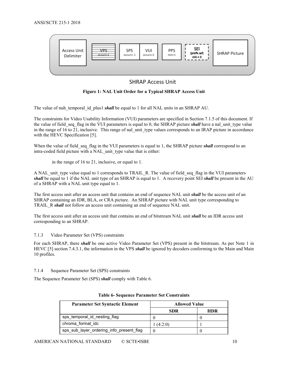

#### **SHRAP Access Unit**

#### **Figure 1: NAL Unit Order for a Typical SHRAP Access Unit**

<span id="page-13-3"></span>The value of nuh temporal id plus1 *shall* be equal to 1 for all NAL units in an SHRAP AU.

The constraints for Video Usability Information (VUI) parameters are specified in Section 7.1.5 of this document. If the value of field seq flag in the VUI parameters is equal to 0, the SHRAP picture *shall* have a nal unit type value in the range of  $16$  to 21, inclusive. This range of nal\_unit\_type values corresponds to an IRAP picture in accordance with the HEVC Specification [\[5\].](#page-4-5)

When the value of field seq flag in the VUI parameters is equal to 1, the SHRAP picture *shall* correspond to an intra-coded field picture with a NAL unit type value that is either:

in the range of 16 to 21, inclusive, or equal to 1.

A NAL unit type value equal to 1 corresponds to TRAIL R. The value of field seq flag in the VUI parameters *shall* be equal to 1 if the NAL unit type of an SHRAP is equal to 1. A recovery point SEI *shall* be present in the AU of a SHRAP with a NAL unit type equal to 1.

The first access unit after an access unit that contains an end of sequence NAL unit *shall* be the access unit of an SHRAP containing an IDR, BLA, or CRA picture. An SHRAP picture with NAL unit type corresponding to TRAIL\_R *shall* not follow an access unit containing an end of sequence NAL unit.

The first access unit after an access unit that contains an end of bitstream NAL unit *shall* be an IDR access unit corresponding to an SHRAP.

#### <span id="page-13-0"></span>7.1.3 Video Parameter Set (VPS) constraints

For each SHRAP, there *shall* be one active Video Parameter Set (VPS) present in the bitstream. As per Note 1 in HEV[C \[5\]](#page-4-5) section 7.4.3.1, the information in the VPS *shall* be ignored by decoders conforming to the Main and Main 10 profiles.

<span id="page-13-1"></span>7.1.4 Sequence Parameter Set (SPS) constraints

<span id="page-13-2"></span>The Sequence Parameter Set (SPS) *shall* comply with [Table 6.](#page-13-2)

| <b>Parameter Set Syntactic Element</b><br><b>Allowed Value</b> |            |            |
|----------------------------------------------------------------|------------|------------|
|                                                                | <b>SDR</b> | <b>HDR</b> |
| sps temporal id nesting flag                                   |            |            |
| chroma format idc                                              | 1(4:2:0)   |            |
| sps_sub_layer_ordering_info_present_flag                       |            |            |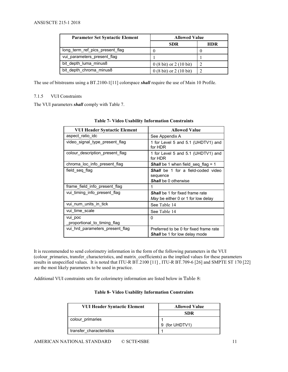| <b>Parameter Set Syntactic Element</b> | <b>Allowed Value</b>                      |     |
|----------------------------------------|-------------------------------------------|-----|
|                                        | <b>SDR</b>                                | HDR |
| long_term_ref_pics_present_flag        |                                           |     |
| vui parameters present flag            |                                           |     |
| bit depth luma minus8                  | $0(8 \text{ bit})$ or $2(10 \text{ bit})$ |     |
| bit depth chroma minus8                | $0(8 \text{ bit})$ or $2(10 \text{ bit})$ |     |

The use of bitstreams using a BT.2100-[1\[11\]](#page-4-8) colorspace *shall* require the use of Main 10 Profile.

#### <span id="page-14-0"></span>7.1.5 VUI Constraints

<span id="page-14-1"></span>The VUI parameters *shall* comply with [Table 7.](#page-14-1)

| <b>VUI Header Syntactic Element</b>     | <b>Allowed Value</b>                                                                 |  |
|-----------------------------------------|--------------------------------------------------------------------------------------|--|
| aspect ratio idc                        | See Appendix A                                                                       |  |
| video signal type present flag          | 1 for Level 5 and 5.1 (UHDTV1) and<br>for HDR                                        |  |
| colour description present flag         | 1 for Level 5 and 5.1 (UHDTV1) and<br>for HDR                                        |  |
| chroma_loc_info_present_flag            | <b>Shall</b> be 1 when field seq flag = 1                                            |  |
| field seg flag                          | <b>Shall</b> be 1 for a field-coded video<br>sequence<br><b>Shall</b> be 0 otherwise |  |
| frame field info present flag           |                                                                                      |  |
| vui timing info present flag            | <b>Shall</b> be 1 for fixed frame rate<br>May be either 0 or 1 for low delay         |  |
| vui num units in tick                   | See Table 14                                                                         |  |
| vui time scale                          | See Table 14                                                                         |  |
| vui poc<br>_proportional_to_timing_flag | 0                                                                                    |  |
| vui hrd parameters present flag         | Preferred to be 0 for fixed frame rate<br><b>Shall</b> be 1 for low delay mode       |  |

|  | <b>Table 7- Video Usability Information Constraints</b> |
|--|---------------------------------------------------------|
|--|---------------------------------------------------------|

It is recommended to send colorimetry information in the form of the following parameters in the VUI (colour\_primaries, transfer\_characteristics, and matrix\_coefficients) as the implied values for these parameters results in unspecified values. It is noted that ITU-R BT.2100 [\[11\]](#page-4-8) , ITU-R BT.709-6 [\[26\]](#page-5-9) and SMPTE ST 170 [\[22\]](#page-5-10) are the most likely parameters to be used in practice.

<span id="page-14-2"></span>Additional VUI constraints sets for colorimetry information are listed below in [Table 8](#page-14-2):

| <b>VUI Header Syntactic Element</b> | <b>Allowed Value</b> |  |  |
|-------------------------------------|----------------------|--|--|
|                                     | <b>SDR</b>           |  |  |
| colour primaries                    |                      |  |  |
|                                     | (for UHDTV1)<br>9    |  |  |
| transfer characteristics            |                      |  |  |

#### **Table 8- Video Usability Information Constraints**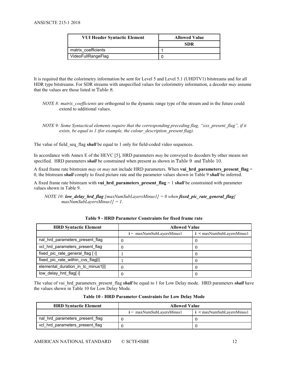| <b>VUI Header Syntactic Element</b> | <b>Allowed Value</b> |  |
|-------------------------------------|----------------------|--|
|                                     | SDR                  |  |
| matrix coefficients                 |                      |  |
| VideoFullRangeFlag                  |                      |  |

It is required that the colorimetry information be sent for Level 5 and Level 5.1 (UHDTV1) bitstreams and for all HDR type bitstreams. For SDR streams with unspecified values for colorimetry information, a decoder *may* assume that the values are those listed in [Table 8](#page-14-2).

- *NOTE 8: matrix coefficients* are orthogonal to the dynamic range type of the stream and in the future could extend to additional values.
- *NOTE 9: Some Syntactical elements require that the corresponding preceding flag, "xxx\_present\_flag", if it exists, be equal to 1 (for example, the colour\_description\_present flag).*

The value of field seq flag *shall* be equal to 1 only for field-coded video sequences.

In accordance with Annex E of the HEV[C \[5\],](#page-4-5) HRD parameters *may* be conveyed to decoders by other means not specified. HRD parameters *shall* be constrained when present as shown in [Table 9](#page-15-0) and [Table 10](#page-15-1).

A fixed frame rate bitstream *may* or *may* not include HRD parameters. When **vui\_hrd\_parameters\_present\_flag** = 0, the bitstream *shall* comply to fixed picture rate and the parameter values shown in [Table 9](#page-15-0) *shall* be inferred.

A fixed frame rate bitstream with **vui hrd parameters present flag**  $= 1$  *shall* be constrained with parameter values shown in [Table 9.](#page-15-0)

*NOTE* 10: *low\_delay\_hrd\_flag*  ${maxNumSubLayersMinus1} = 0$  when *fixed\_pic\_rate\_general\_flag* $[$ *maxNumSubLayersMinus1] = 1.*

<span id="page-15-0"></span>

| <b>HRD Syntactic Element</b>       | <b>Allowed Value</b>        |                             |  |
|------------------------------------|-----------------------------|-----------------------------|--|
|                                    | $i = maxNumSubLayersMinus1$ | $i$ < maxNumSubLayersMinus1 |  |
| nal hrd parameters present flag    |                             |                             |  |
| vcl hrd parameters present flag    |                             |                             |  |
| fixed pic rate general flag [i]    |                             |                             |  |
| fixed_pic_rate_within_cvs_flag[i]  |                             |                             |  |
| elemental duration in tc minus1[i] |                             |                             |  |
| low delay hrd flag[i]              |                             |                             |  |

**Table 9 - HRD Parameter Constraints for fixed frame rate**

The value of vui hrd parameters present flag *shall* be equal to 1 for Low Delay mode. HRD parameters *shall* have the values shown in [Table 10](#page-15-1) for Low Delay Mode.

|  |  |  | Table 10 - HRD Parameter Constraints for Low Delay Mode |  |  |  |  |
|--|--|--|---------------------------------------------------------|--|--|--|--|
|--|--|--|---------------------------------------------------------|--|--|--|--|

<span id="page-15-1"></span>

| <b>HRD Syntactic Element</b>    | <b>Allowed Value</b>        |                                      |  |
|---------------------------------|-----------------------------|--------------------------------------|--|
|                                 | $i = maxNumSubLayersMinus1$ | $\mathbf{i}$ < maxNumSubLayersMinus1 |  |
| nal hrd parameters present flag |                             |                                      |  |
| vcl hrd parameters present flag |                             |                                      |  |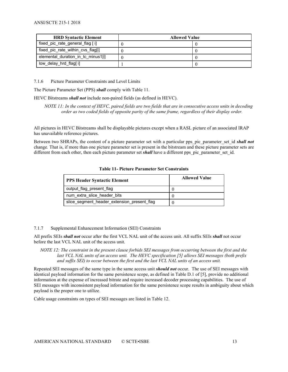| <b>HRD Syntactic Element</b>       | <b>Allowed Value</b> |  |
|------------------------------------|----------------------|--|
| fixed_pic_rate_general_flag [i]    |                      |  |
| fixed pic rate within cvs flag[i]  |                      |  |
| elemental duration in to minus1[i] |                      |  |
| low_delay_hrd_flag[ i]             |                      |  |

<span id="page-16-0"></span>7.1.6 Picture Parameter Constraints and Level Limits

The Picture Parameter Set (PPS) *shall* comply with [Table 11.](#page-16-2)

HEVC Bitstreams *shall not* include non-paired fields (as defined in HEVC).

*NOTE 11: In the context of HEVC, paired fields are two fields that are in consecutive access units in decoding order as two coded fields of opposite parity of the same frame, regardless of their display order.*

All pictures in HEVC Bitstreams shall be displayable pictures except when a RASL picture of an associated IRAP has unavailable reference pictures.

<span id="page-16-2"></span>Between two SHRAPs, the content of a picture parameter set with a particular pps\_pic\_parameter\_set\_id *shall not* change*.* That is, if more than one picture parameter set is present in the bitstream and these picture parameter sets are different from each other, then each picture parameter set *shall* have a different pps\_pic\_parameter\_set\_id.

| <b>PPS Header Syntactic Element</b>         | <b>Allowed Value</b> |
|---------------------------------------------|----------------------|
| output flag present flag                    |                      |
| num extra slice header bits                 |                      |
| slice segment header extension present flag |                      |

#### **Table 11- Picture Parameter Set Constraints**

#### <span id="page-16-1"></span>7.1.7 Supplemental Enhancement Information (SEI) Constraints

All prefix SEIs *shall not* occur after the first VCL NAL unit of the access unit. All suffix SEIs *shall* not occur before the last VCL NAL unit of the access unit.

*NOTE* 12: The constraint in the present clause forbids SEI messages from occurring between the first and the *last VCL NAL units of an access unit. The HEVC specification [\[5\]](#page-4-5) allows SEI messages (both prefix and suffix SEI) to occur between the first and the last VCL NAL units of an access unit.*

Repeated SEI messages of the same type in the same access unit *should not* occur. The use of SEI messages with identical payload information for the same persistence scope, as defined in Table D.1 o[f \[5\],](#page-4-5) provide no additional information at the expense of increased bitrate and require increased decoder processing capabilities. The use of SEI messages with inconsistent payload information for the same persistence scope results in ambiguity about which payload is the proper one to utilize.

Cable usage constraints on types of SEI messages are listed in [Table 12.](#page-17-0)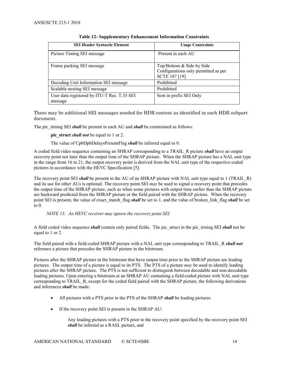<span id="page-17-0"></span>

| <b>SEI Header Syntactic Element</b>                    | <b>Usage Constraints</b>                                                                  |
|--------------------------------------------------------|-------------------------------------------------------------------------------------------|
| Picture Timing SEI message                             | Present in each AU                                                                        |
| Frame packing SEI message                              | Top/Bottom & Side by Side<br>Configurations only permitted as per<br><b>SCTE 187 [19]</b> |
| Decoding Unit Information SEI message                  | Prohibited                                                                                |
| Scalable nesting SEI message                           | Prohibited                                                                                |
| User data registered by ITU-T Rec. T.35 SEI<br>message | Sent in prefix SEI Only                                                                   |

#### **Table 12- Supplementary Enhancement Information Constraints**

There may be additional SEI messages needed for HDR content as identified in each HDR subpart document.

The pic timing SEI *shall* be present in each AU and *shall* be constrained as follows:

**pic\_struct** *shall not* be equal to 1 or 2.

The value of CpbDpbDelaysPresentFlag *shall* be inferred equal to 0.

A coded field video sequence containing an SHRAP corresponding to a TRAIL\_R picture *shall* have an output recovery point not later than the output time of the SHRAP picture. When the SHRAP picture has a NAL unit type in the range from 16 to 21, the output recovery point is derived from the NAL unit type of the respective coded pictures in accordance with the HEVC Specification [\[5\].](#page-4-5)

The recovery point SEI *shall* be present in the AU of an SHRAP picture with NAL unit type equal to 1 (TRAIL R) and its use for other AUs is optional. The recovery point SEI *may* be used to signal a recovery point that precedes the output time of the SHRAP picture, such as when some pictures with output time earlier than the SHRAP picture are backward predicted from the SHRAP picture or the field paired with the SHRAP picture. When the recovery point SEI is present, the value of exact match flag *shall* be set to 1, and the value of broken link flag *shall* be set to 0.

*NOTE 13: An HEVC receiver may ignore the recovery point SEI.*

A field coded video sequence *shall* contain only paired fields. The pic\_struct in the pic\_timing SEI *shall* not be equal to 1 or 2.

The field paired with a field-coded SHRAP picture with a NAL unit type corresponding to TRAIL\_R *shall not* reference a picture that precedes the SHRAP picture in the bitstream.

Pictures after the SHRAP picture in the bitstream that have output time prior to the SHRAP picture are leading pictures. The output time of a picture is equal to its PTS. The PTS of a picture *may* be used to identify leading pictures after the SHRAP picture. The PTS is not sufficient to distinguish between decodable and non-decodable leading pictures. Upon entering a bitstream at an SHRAP AU containing a field-coded picture with NAL unit type corresponding to TRAIL\_R, except for the coded field paired with the SHRAP picture, the following derivations and inferences *shall* be made:

- All pictures with a PTS prior to the PTS of the SHRAP *shall* be leading pictures.
- If the recovery point SEI is present in the SHRAP AU:

Any leading pictures with a PTS prior to the recovery point specified by the recovery point SEI *shall* be inferred as a RASL picture, and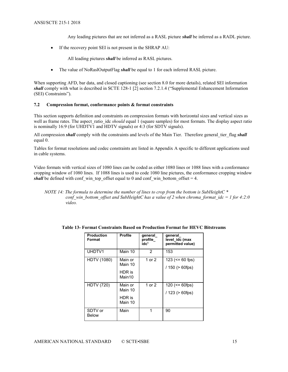Any leading pictures that are not inferred as a RASL picture *shall* be inferred as a RADL picture.

• If the recovery point SEI is not present in the SHRAP AU:

All leading pictures *shall* be inferred as RASL pictures.

• The value of NoRaslOutputFlag *shall* be equal to 1 for each inferred RASL picture.

When supporting AFD, bar data, and closed captioning (see sectio[n 8.0](#page-21-1) for more details), related SEI information *shall* comply with what is described in SCTE 128-1 [\[2\]](#page-4-9) section 7.2.1.4 ("Supplemental Enhancement Information (SEI) Constraints").

#### <span id="page-18-0"></span>**7.2 Compression format, conformance points & format constraints**

This section supports definition and constraints on compression formats with horizontal sizes and vertical sizes as well as frame rates. The aspect ratio idc *should* equal 1 (square samples) for most formats. The display aspect ratio is nominally 16:9 (for UHDTV1 and HDTV signals) or 4:3 (for SDTV signals).

All compression *shall* comply with the constraints and levels of the Main Tier. Therefore general tier flag *shall* equal 0.

Tables for format resolutions and codec constraints are listed in Appendix A specific to different applications used in cable systems.

Video formats with vertical sizes of 1080 lines can be coded as either 1080 lines or 1088 lines with a conformance cropping window of 1080 lines. If 1088 lines is used to code 1080 line pictures, the conformance cropping window *shall* be defined with conf win top offset equal to 0 and conf win bottom offset = 4.

*NOTE 14: The formula to determine the number of lines to crop from the bottom is SubHeightC \* conf* win bottom offset and SubHeightC has a value of 2 when chroma format  $ide = 1$  for 4:2:0 *video.*

| <b>Production</b><br>Format | <b>Profile</b>                          | general<br>profile<br>idc <sup>1</sup> | general<br>level idc (max<br>permitted value) |
|-----------------------------|-----------------------------------------|----------------------------------------|-----------------------------------------------|
| UHDTV1                      | Main 10                                 | 2                                      | 153                                           |
| <b>HDTV (1080)</b>          | Main or<br>Main 10<br>HDR is<br>Main10  | 1 or 2                                 | 123 ( $\leq$ 60 fps)<br>$/150$ ( $> 60$ fps)  |
| <b>HDTV (720)</b>           | Main or<br>Main 10<br>HDR is<br>Main 10 | 1 or 2                                 | $120 (= 60fps)$<br>/ 123 (> 60fps)            |
| SDTV or<br><b>Below</b>     | Main                                    | 1                                      | 90                                            |

<span id="page-18-1"></span>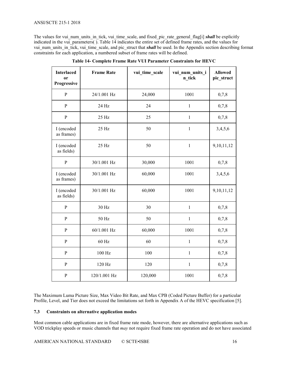#### ANSI/SCTE 215-1 2018

The values for vui\_num\_units\_in\_tick, vui\_time\_scale, and fixed\_pic\_rate\_general\_flag[i] **shall** be explicitly indicated in the vui\_parameters( $\overline{)}$ ). [Table 14](#page-19-1) indicates the entire set of defined frame rates, and the values for vui num units in tick, vui time scale, and pic struct that **shall** be used. In the Appendix section describing format constraints for each application, a numbered subset of frame rates will be defined.

<span id="page-19-1"></span>

| <b>Interlaced</b><br><sub>or</sub><br>Progressive | <b>Frame Rate</b> | vui time scale | vui num units i<br>n tick | <b>Allowed</b><br>pic_struct |
|---------------------------------------------------|-------------------|----------------|---------------------------|------------------------------|
| ${\bf P}$                                         | 24/1.001 Hz       | 24,000         | 1001                      | 0,7,8                        |
| ${\bf P}$                                         | 24 Hz             | 24             | $\mathbf{1}$              | 0,7,8                        |
| ${\bf P}$                                         | 25 Hz             | 25             | $\mathbf{1}$              | 0,7,8                        |
| I (encoded<br>as frames)                          | 25 Hz             | 50             | $\mathbf{1}$              | 3,4,5,6                      |
| I (encoded<br>as fields)                          | 25 Hz             | 50             | $\mathbf{1}$              | 9,10,11,12                   |
| ${\bf P}$                                         | 30/1.001 Hz       | 30,000         | 1001                      | 0,7,8                        |
| I (encoded<br>as frames)                          | 30/1.001 Hz       | 60,000         | 1001                      | 3,4,5,6                      |
| I (encoded<br>as fields)                          | 30/1.001 Hz       | 60,000         | 1001                      | 9,10,11,12                   |
| ${\bf P}$                                         | 30 Hz             | 30             | $\mathbf{1}$              | 0,7,8                        |
| $\, {\bf P}$                                      | 50 Hz             | 50             | $\mathbf{1}$              | 0,7,8                        |
| $\, {\bf P}$                                      | 60/1.001 Hz       | 60,000         | 1001                      | 0,7,8                        |
| $\mathbf{P}$                                      | 60 Hz             | 60             | $\mathbf{1}$              | 0,7,8                        |
| $\mathbf{P}$                                      | 100 Hz            | 100            | $\mathbf{1}$              | 0,7,8                        |
| ${\bf P}$                                         | 120 Hz            | 120            | $\mathbf{1}$              | 0,7,8                        |
| ${\bf P}$                                         | 120/1.001 Hz      | 120,000        | 1001                      | 0,7,8                        |

**Table 14- Complete Frame Rate VUI Parameter Constraints for HEVC**

The Maximum Luma Picture Size, Max Video Bit Rate, and Max CPB (Coded Picture Buffer) for a particular Profile, Level, and Tier does not exceed the limitations set forth in Appendix A of the HEVC specification [\[5\].](#page-4-5)

#### <span id="page-19-0"></span>**7.3 Constraints on alternative application modes**

Most common cable applications are in fixed frame rate mode, however, there are alternative applications such as VOD trickplay speeds or music channels that *may* not require fixed frame rate operation and do not have associated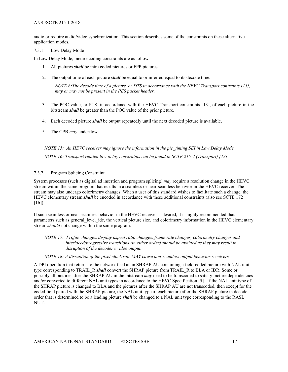#### ANSI/SCTE 215-1 2018

audio or require audio/video synchronization. This section describes some of the constraints on these alternative application modes.

#### <span id="page-20-0"></span>7.3.1 Low Delay Mode

In Low Delay Mode, picture coding constraints are as follows:

- 1. All pictures *shall* be intra coded pictures or FPP pictures.
- 2. The output time of each picture *shall* be equal to or inferred equal to its decode time.

*NOTE 6:The decode time of a picture, or DTS in accordance with the HEVC Transport contraints [\[13\],](#page-5-3) may or may not be present in the PES packet header.*

- 3. The POC value, or PTS, in accordance with the HEVC Transport constraints [\[13\],](#page-5-3) of each picture in the bitstream *shall* be greater than the POC value of the prior picture.
- 4. Each decoded picture *shall* be output repeatedly until the next decoded picture is available.
- 5. The CPB *may* underflow.

*NOTE 15: An HEVC receiver may ignore the information in the pic\_timing SEI in Low Delay Mode. NOTE 16: Transport related low-delay constraints can be found in SCTE 215-2 (Transport) [\[13\]](#page-5-3)*

#### <span id="page-20-1"></span>7.3.2 Program Splicing Constraint

System processes (such as digital ad insertion and program splicing) *may* require a resolution change in the HEVC stream within the same program that results in a seamless or near-seamless behavior in the HEVC receiver. The stream may also undergo colorimetry changes. When a user of this standard wishes to facilitate such a change, the HEVC elementary stream *shall* be encoded in accordance with these additional constraints (also see SCTE 172  $[16]$ :

If such seamless or near-seamless behavior in the HEVC receiver is desired, it is highly recommended that parameters such as general level idc, the vertical picture size, and colorimetry information in the HEVC elementary stream *should* not change within the same program.

*NOTE 17: Profile changes, display aspect ratio changes, frame rate changes, colorimetry changes and interlaced/progressive transitions (in either order) should be avoided as they may result in disruption of the decoder's video output.*

#### *NOTE 18: A disruption of the pixel clock rate MAY cause non-seamless output behavior receivers*

A DPI operation that returns to the network feed at an SHRAP AU containing a field-coded picture with NAL unit type corresponding to TRAIL\_R *shall* convert the SHRAP picture from TRAIL\_R to BLA or IDR. Some or possibly all pictures after the SHRAP AU in the bitstream *may* need to be transcoded to satisfy picture dependencies and/or converted to different NAL unit types in accordance to the HEVC Specification [\[5\].](#page-4-5) If the NAL unit type of the SHRAP picture is changed to BLA and the pictures after the SHRAP AU are not transcoded, then except for the coded field paired with the SHRAP picture, the NAL unit type of each picture after the SHRAP picture in decode order that is determined to be a leading picture *shall* be changed to a NAL unit type corresponding to the RASL NUT.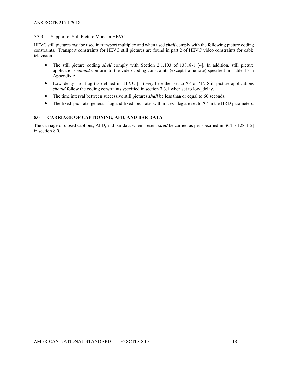#### <span id="page-21-0"></span>7.3.3 Support of Still Picture Mode in HEVC

HEVC still pictures *may* be used in transport multiplex and when used *shall* comply with the following picture coding constraints. Transport constraints for HEVC still pictures are found in part 2 of HEVC video constraints for cable television.

- The still picture coding **shall** comply with Section 2.1.103 of 13818-1 [\[4\].](#page-4-6) In addition, still picture applications *should* conform to the video coding constraints (except frame rate) specified in [Table 15](#page-22-1) in Appendix A
- Low delay hrd flag (as defined in HEVC [\[5\]\)](#page-4-5) *may* be either set to '0' or '1'. Still picture applications *should* follow the coding constraints specified in section 7.3.1 when set to low\_delay.
- The time interval between successive still pictures *shall* be less than or equal to 60 seconds.
- The fixed pic rate general flag and fixed pic rate within cvs flag are set to '0' in the HRD parameters.

#### <span id="page-21-1"></span>**8.0 CARRIAGE OF CAPTIONING, AFD, AND BAR DATA**

The carriage of closed captions, AFD, and bar data when present *shall* be carried as per specified in SCTE 128-[1\[2\]](#page-4-9) in section 8.0.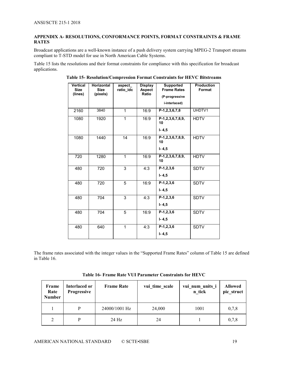#### <span id="page-22-0"></span>**APPENDIX A- RESOLUTIONS, CONFORMANCE POINTS, FORMAT CONSTRAINTS & FRAME RATES**

Broadcast applications are a well-known instance of a push delivery system carrying MPEG-2 Transport streams compliant to T-STD model for use in North American Cable Systems.

<span id="page-22-1"></span>[Table 15](#page-22-1) lists the resolutions and their format constraints for compliance with this specification for broadcast applications.

| <b>Vertical</b><br><b>Size</b><br>(lines) | <b>Horizontal</b><br><b>Size</b><br>(pixels) | aspect<br>ratio idc | <b>Display</b><br><b>Aspect</b><br>Ratio | <b>Supported</b><br><b>Frame Rates</b><br>(P-progressive<br>i-interlaced) | <b>Production</b><br>Format |
|-------------------------------------------|----------------------------------------------|---------------------|------------------------------------------|---------------------------------------------------------------------------|-----------------------------|
| 2160                                      | 3840                                         | 1                   | 16:9                                     | $P-1, 2, 3, 6, 7, 8$                                                      | UHDTV1                      |
| 1080                                      | 1920                                         | 1                   | 16:9                                     | P-1,2,3,6,7,8,9,<br>10<br>$I - 4, 5$                                      | <b>HDTV</b>                 |
| 1080                                      | 1440                                         | 14                  | 16:9                                     | $P-1, 2, 3, 6, 7, 8, 9,$<br>10<br>$I - 4, 5$                              | <b>HDTV</b>                 |
| 720                                       | 1280                                         | $\mathbf{1}$        | 16:9                                     | $P-1, 2, 3, 6, 7, 8, 9,$<br>10                                            | <b>HDTV</b>                 |
| 480                                       | 720                                          | 3                   | 4:3                                      | $P-1, 2, 3, 6$<br>$I - 4, 5$                                              | <b>SDTV</b>                 |
| 480                                       | 720                                          | 5                   | 16:9                                     | $P-1, 2, 3, 6$<br>$I - 4, 5$                                              | <b>SDTV</b>                 |
| 480                                       | 704                                          | 3                   | 4:3                                      | $P-1, 2, 3, 6$<br>$I - 4, 5$                                              | <b>SDTV</b>                 |
| 480                                       | 704                                          | $\overline{5}$      | 16:9                                     | $P-1, 2, 3, 6$<br>$I - 4, 5$                                              | <b>SDTV</b>                 |
| 480                                       | 640                                          | $\mathbf{1}$        | 4:3                                      | $P-1, 2, 3, 6$<br>$I - 4, 5$                                              | <b>SDTV</b>                 |

**Table 15- Resolution/Compression Format Constraints for HEVC Bitstreams**

The frame rates associated with the integer values in the "Supported Frame Rates" column of [Table 15](#page-22-1) are defined in [Table 16.](#page-22-2)

<span id="page-22-2"></span>

| Frame<br>Rate<br><b>Number</b> | Interlaced or<br><b>Progressive</b> | <b>Frame Rate</b> | vui time scale | vui num units i<br>n tick | <b>Allowed</b><br>pic struct |
|--------------------------------|-------------------------------------|-------------------|----------------|---------------------------|------------------------------|
|                                | P                                   | 24000/1001 Hz     | 24,000         | 1001                      | 0,7,8                        |
| $\mathfrak{D}$                 | D                                   | 24 Hz             | 24             |                           | 0,7,8                        |